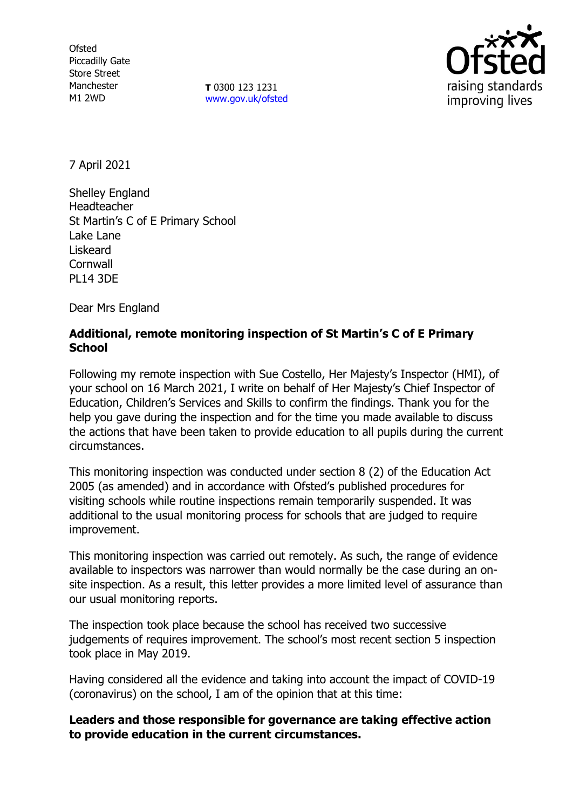**Ofsted** Piccadilly Gate Store Street Manchester M1 2WD

**T** 0300 123 1231 [www.gov.uk/ofsted](http://www.gov.uk/ofsted)



7 April 2021

Shelley England Headteacher St Martin's C of E Primary School Lake Lane Liskeard **Cornwall** PL14 3DE

Dear Mrs England

## **Additional, remote monitoring inspection of St Martin's C of E Primary School**

Following my remote inspection with Sue Costello, Her Majesty's Inspector (HMI), of your school on 16 March 2021, I write on behalf of Her Majesty's Chief Inspector of Education, Children's Services and Skills to confirm the findings. Thank you for the help you gave during the inspection and for the time you made available to discuss the actions that have been taken to provide education to all pupils during the current circumstances.

This monitoring inspection was conducted under section 8 (2) of the Education Act 2005 (as amended) and in accordance with Ofsted's published procedures for visiting schools while routine inspections remain temporarily suspended. It was additional to the usual monitoring process for schools that are judged to require improvement.

This monitoring inspection was carried out remotely. As such, the range of evidence available to inspectors was narrower than would normally be the case during an onsite inspection. As a result, this letter provides a more limited level of assurance than our usual monitoring reports.

The inspection took place because the school has received two successive judgements of requires improvement. The school's most recent section 5 inspection took place in May 2019.

Having considered all the evidence and taking into account the impact of COVID-19 (coronavirus) on the school, I am of the opinion that at this time:

**Leaders and those responsible for governance are taking effective action to provide education in the current circumstances.**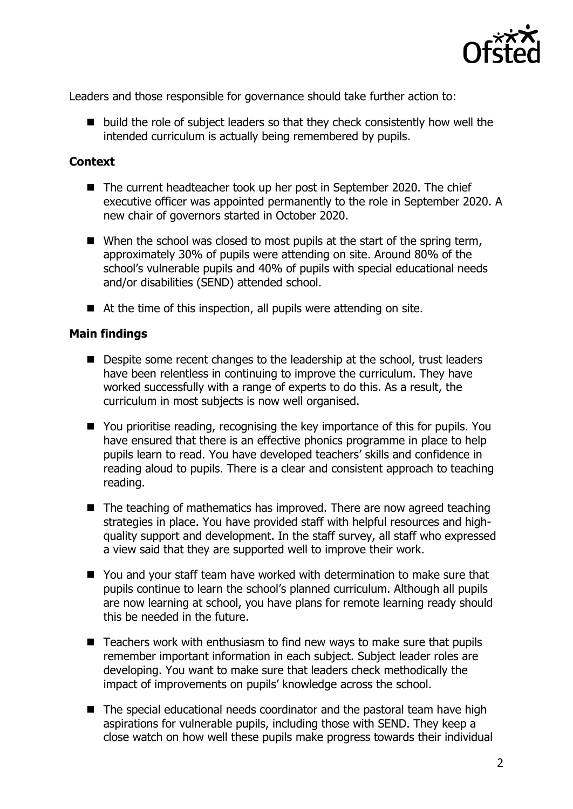

Leaders and those responsible for governance should take further action to:

 $\blacksquare$  build the role of subject leaders so that they check consistently how well the intended curriculum is actually being remembered by pupils.

## **Context**

- The current headteacher took up her post in September 2020. The chief executive officer was appointed permanently to the role in September 2020. A new chair of governors started in October 2020.
- $\blacksquare$  When the school was closed to most pupils at the start of the spring term, approximately 30% of pupils were attending on site. Around 80% of the school's vulnerable pupils and 40% of pupils with special educational needs and/or disabilities (SEND) attended school.
- At the time of this inspection, all pupils were attending on site.

## **Main findings**

- Despite some recent changes to the leadership at the school, trust leaders have been relentless in continuing to improve the curriculum. They have worked successfully with a range of experts to do this. As a result, the curriculum in most subjects is now well organised.
- You prioritise reading, recognising the key importance of this for pupils. You have ensured that there is an effective phonics programme in place to help pupils learn to read. You have developed teachers' skills and confidence in reading aloud to pupils. There is a clear and consistent approach to teaching reading.
- $\blacksquare$  The teaching of mathematics has improved. There are now agreed teaching strategies in place. You have provided staff with helpful resources and highquality support and development. In the staff survey, all staff who expressed a view said that they are supported well to improve their work.
- You and your staff team have worked with determination to make sure that pupils continue to learn the school's planned curriculum. Although all pupils are now learning at school, you have plans for remote learning ready should this be needed in the future.
- Teachers work with enthusiasm to find new ways to make sure that pupils remember important information in each subject. Subject leader roles are developing. You want to make sure that leaders check methodically the impact of improvements on pupils' knowledge across the school.
- The special educational needs coordinator and the pastoral team have high aspirations for vulnerable pupils, including those with SEND. They keep a close watch on how well these pupils make progress towards their individual